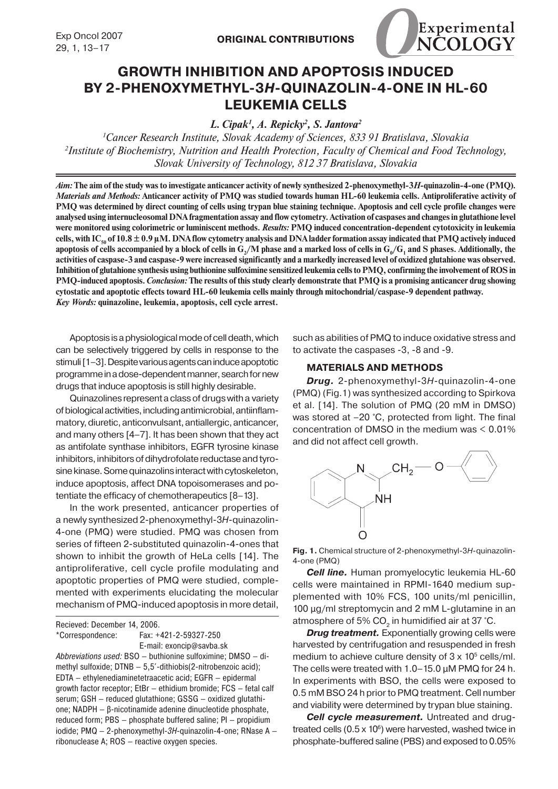

# **GROWTH INHIBITION AND APOPTOSIS INDUCED BY 2‑PHENOXYMETHYL-3***H***-QUINAZOLIN-4-ONE IN HL-60 LEUKEMIA CELLS**

*L. Cipak1 , A. Repicky2 , S. Jantova2*

*1 Cancer Research Institute, Slovak Academy of Sciences, 833 91 Bratislava, Slovakia 2 Institute of Biochemistry, Nutrition and Health Protection, Faculty of Chemical and Food Technology, Slovak University of Technology, 812 37 Bratislava, Slovakia*

*Aim:* **The aim of the study was to investigate anticancer activity of newly synthesized 2-phenoxymethyl-3***H***-quinazolin-4-one (PMQ).**  *Materials and Methods:* **Anticancer activity of PMQ was studied towards human HL-60 leukemia cells. Antiproliferative activity of PMQ was determined by direct counting of cells using trypan blue staining technique. Apoptosis and cell cycle profile changes were analysed using internucleosomal DNA fragmentation assay and flow cytometry. Activation of caspases and changes in glutathione level were monitored using colorimetric or luminiscent methods.** *Results:* **PMQ induced concentration-dependent cytotoxicity in leukemia**  cells, with  $IC_{20}$  of 10.8  $\pm$  0.9  $\mu$ M. DNA flow cytometry analysis and DNA ladder formation assay indicated that PMQ actively induced apoptosis of cells accompanied by a block of cells in  $G_2/M$  phase and a marked loss of cells in  $G_0/G_1$  and  $S$  phases. Additionally, the **activities of caspase-3 and caspase-9 were increased significantly and a markedly increased level of oxidized glutahione was observed. Inhibition of glutahione synthesis using buthionine sulfoximine sensitized leukemia cells to PMQ, confirming the involvement of ROS in PMQ-induced apoptosis.** *Conclusion:* **The results of this study clearly demonstrate that PMQ is a promising anticancer drug showing cytostatic and apoptotic effects toward HL-60 leukemia cells mainly through mitochondrial/caspase-9 dependent pathway.** *Key Words:* **quinazoline, leukemia, apoptosis, cell cycle arrest.**

Apoptosis is a physiological mode of cell death, which can be selectively triggered by cells in response to the stimuli [1–3]. Despite various agents can induce apoptotic programme in a dose-dependent manner, search for new drugs that induce apoptosis is still highly desirable.

Quinazolines represent a class of drugs with a variety of biological activities, including antimicrobial, antiinflammatory, diuretic, anticonvulsant, antiallergic, anticancer, and many others [4–7]. It has been shown that they act as antifolate synthase inhibitors, EGFR tyrosine kinase inhibitors, inhibitors of dihydrofolate reductase and tyrosine kinase. Some quinazolins interact with cytoskeleton, induce apoptosis, affect DNA topoisomerases and potentiate the efficacy of chemotherapeutics [8–13].

In the work presented, anticancer properties of a newly synthesized 2-phenoxymethyl-3*H*-quinazolin-4-one (PMQ) were studied. PMQ was chosen from series of fifteen 2-substituted quinazolin-4-ones that shown to inhibit the growth of HeLa cells [14]. The antiproliferative, cell cycle profile modulating and apoptotic properties of PMQ were studied, complemented with experiments elucidating the molecular mechanism of PMQ-induced apoptosis in more detail,

Recieved: December 14, 2006. \*Correspondence: Fax: +421-2-59327-250 E-mail: exoncip@savba.sk *Abbreviations used:* BSO – buthionine sulfoximine; DMSO – dimethyl sulfoxide;  $DTNB - 5,5'-dithiobis(2-nitrobenzoic acid);$ EDTA – ethylenediaminetetraacetic acid; EGFR – epidermal growth factor receptor; EtBr – ethidium bromide; FCS – fetal calf serum; GSH – reduced glutathione; GSSG – oxidized glutathione; NADPH – β-nicotinamide adenine dinucleotide phosphate,

reduced form; PBS – phosphate buffered saline; PI – propidium iodide; PMQ – 2-phenoxymethyl-*3H*-quinazolin-4-one; RNase A – ribonuclease A; ROS – reactive oxygen species.

such as abilities of PMQ to induce oxidative stress and to activate the caspases -3, -8 and -9.

### **MATERIALS AND METHODS**

*Drug.* 2-phenoxymethyl-3*H*-quinazolin-4-one (PMQ) (Fig.1) was synthesized according to Spirkova et al. [14]. The solution of PMQ (20 mM in DMSO) was stored at –20 °C, protected from light. The final concentration of DMSO in the medium was < 0.01% and did not affect cell growth.



**Fig. 1.** Chemical structure of 2-phenoxymethyl-3*H*-quinazolin-4-one (PMQ)

*Cell line.* Human promyelocytic leukemia HL-60 cells were maintained in RPMI-1640 medium supplemented with 10% FCS, 100 units/ml penicillin, 100 μg/ml streptomycin and 2 mM L-glutamine in an atmosphere of 5% CO<sub>2</sub> in humidified air at 37 °C.

*Drug treatment.* Exponentially growing cells were harvested by centrifugation and resuspended in fresh medium to achieve culture density of  $3 \times 10^5$  cells/ml. The cells were treated with 1.0–15.0 μM PMQ for 24 h. In experiments with BSO, the cells were exposed to 0.5 mM BSO 24 h prior to PMQ treatment. Cell number and viability were determined by trypan blue staining.

*Cell cycle measurement.* Untreated and drugtreated cells  $(0.5 \times 10^6)$  were harvested, washed twice in phosphate-buffered saline (PBS) and exposed to 0.05%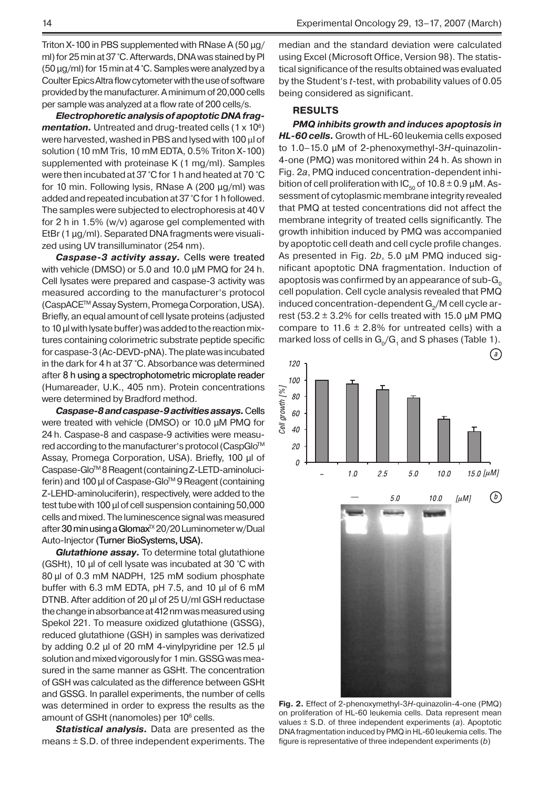Triton X-100 in PBS supplemented with RNase A (50  $\mu$ g/ ml) for 25 min at 37 °C. Afterwards, DNA was stained by PI (50 μg/ml) for 15 min at 4 °C. Samples were analyzed by a Coulter Epics Altra flow cytometer with the use of software provided by the manufacturer. A minimum of 20,000 cells per sample was analyzed at a flow rate of 200 cells/s.

*Electrophoretic analysis of apoptotic DNA frag***mentation.** Untreated and drug-treated cells (1 x 10<sup>6</sup>) were harvested, washed in PBS and lysed with 100 µl of solution (10 mM Tris, 10 mM EDTA, 0.5% Triton X-100) supplemented with proteinase K (1 mg/ml). Samples were then incubated at 37 °C for 1 h and heated at 70 °C for 10 min. Following lysis, RNase A (200 μg/ml) was added and repeated incubation at 37 °C for 1h followed. The samples were subjected to electrophoresis at 40 V for 2 h in 1.5% (w/v) agarose gel complemented with EtBr (1 μg/ml). Separated DNA fragments were visualized using UV transilluminator (254 nm).

*Caspase-3 activity assay.* Cells were treated with vehicle (DMSO) or 5.0 and 10.0 μM PMQ for 24 h. Cell lysates were prepared and caspase-3 activity was measured according to the manufacturer's protocol (CaspACETM Assay System, Promega Corporation, USA). Briefly, an equal amount of cell lysate proteins (adjusted to 10 µl with lysate buffer) was added to the reaction mixtures containing colorimetric substrate peptide specific for caspase-3(Ac-DEVD-pNA). The plate was incubated in the dark for 4 h at 37 °C. Absorbance was determined after 8 h using a spectrophotometric microplate reader (Humareader, U.K., 405 nm). Protein concentrations were determined by Bradford method.

*Caspase-8 and caspase-9 activities assays.* Cells were treated with vehicle (DMSO) or 10.0 μM PMQ for 24 h. Caspase-8 and caspase-9 activities were measured according to the manufacturer's protocol (CaspGlo™ Assay, Promega Corporation, USA). Briefly, 100 μl of Caspase-Glo™8 Reagent (containing Z-LETD-aminoluciferin) and 100 μl of Caspase-Glo<sup>™</sup> 9 Reagent (containing Z-LEHD-aminoluciferin), respectively, were added to the test tube with 100 μl of cell suspension containing 50,000 cells and mixed. The luminescence signal was measured after 30 min using a Glomax<sup>TX</sup> 20/20 Luminometer w/Dual Auto-Injector (Turner BioSystems, USA).

*Glutathione assay.* To determine total glutathione (GSHt), 10 μl of cell lysate was incubated at 30 °C with 80 μl of 0.3 mM NADPH, 125 mM sodium phosphate buffer with 6.3 mM EDTA, pH 7.5, and 10 μl of 6 mM DTNB. After addition of 20 μl of 25 U/ml GSH reductase the change in absorbance at 412 nm was measured using Spekol 221. To measure oxidized glutathione (GSSG), reduced glutathione (GSH) in samples was derivatized by adding 0.2 μl of 20 mM 4-vinylpyridine per 12.5 μl solution and mixed vigorously for 1 min. GSSG was measured in the same manner as GSHt. The concentration of GSH was calculated as the difference between GSHt and GSSG. In parallel experiments, the number of cells was determined in order to express the results as the amount of GSHt (nanomoles) per 10<sup>6</sup> cells.

*Statistical analysis.* Data are presented as the means  $\pm$  S.D. of three independent experiments. The median and the standard deviation were calculated using Excel (Microsoft Office, Version 98). The statistical significance of the results obtained was evaluated by the Student's *t*-test, with probability values of 0.05 being considered as significant.

## **RESULTS**

*PMQ inhibits growth and induces apoptosis in HL-60 cells.* Growth of HL-60 leukemia cells exposed to 1.0–15.0 μM of 2-phenoxymethyl-3*H*-quinazolin-4-one (PMQ) was monitored within 24 h. As shown in Fig. 2*a*, PMQ induced concentration-dependent inhibition of cell proliferation with  $IC_{50}$  of 10.8  $\pm$  0.9 µM. Assessment of cytoplasmic membrane integrity revealed that PMQ at tested concentrations did not affect the membrane integrity of treated cells significantly. The growth inhibition induced by PMQ was accompanied by apoptotic cell death and cell cycle profile changes. As presented in Fig. 2*b*, 5.0 μM PMQ induced significant apoptotic DNA fragmentation. Induction of apoptosis was confirmed by an appearance of sub- $G_0$ cell population. Cell cycle analysis revealed that PMQ induced concentration-dependent  $G<sub>2</sub>/M$  cell cycle arrest (53.2  $\pm$  3.2% for cells treated with 15.0  $\mu$ M PMQ compare to 11.6  $\pm$  2.8% for untreated cells) with a marked loss of cells in  $G_0/G_1$  and S phases (Table 1).



**Fig. 2.** Effect of 2-phenoxymethyl-3*H*-quinazolin-4-one (PMQ) on proliferation of HL-60 leukemia cells. Data represent mean values ± S.D. of three independent experiments (*a*). Apoptotic DNA fragmentation induced by PMQ in HL-60 leukemia cells. The figure is representative of three independent experiments (*b*)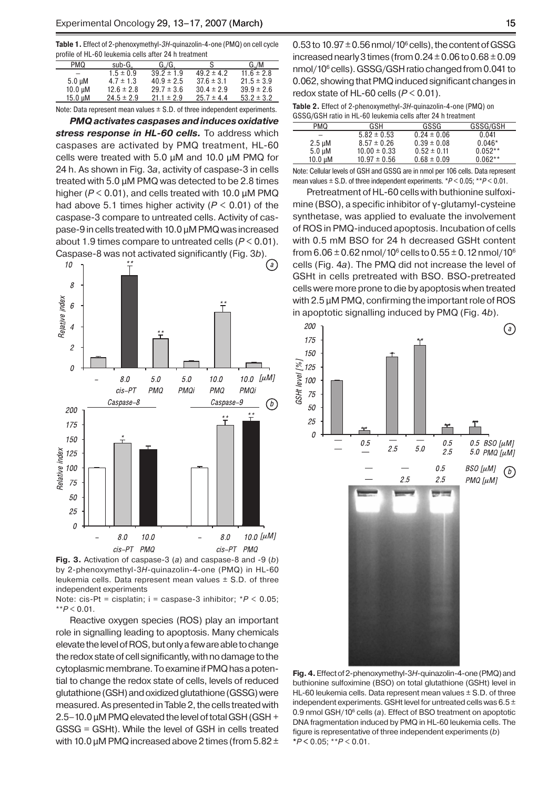**Table 1.** Effect of 2-phenoxymethyl-*3H*-quinazolin-4-one (PMQ) on cell cycle profile of HL-60 leukemia cells after 24 h treatment

| <b>PMQ</b>   | $sub-G0$       | $G_{\circ}/G$  | S              | $G_{\circ}/M$  |
|--------------|----------------|----------------|----------------|----------------|
|              | $1.5 \pm 0.9$  | $39.2 \pm 1.9$ | $49.2 \pm 4.2$ | $11.6 \pm 2.8$ |
| $5.0 \mu M$  | $4.7 \pm 1.3$  | $40.9 \pm 2.5$ | $37.6 \pm 3.1$ | $21.5 \pm 3.9$ |
| 10.0 µM      | $12.6 \pm 2.8$ | $29.7 \pm 3.6$ | $30.4 \pm 2.9$ | $39.9 \pm 2.6$ |
| $15.0 \mu M$ | $24.5 \pm 2.9$ | $21.1 \pm 2.9$ | $25.7 \pm 4.4$ | $53.2 \pm 3.2$ |
|              |                |                |                |                |

Note: Data represent mean values  $\pm$  S.D. of three independent experiments.

*PMQ activates caspases and induces oxidative*  stress response in HL-60 cells. To address which caspases are activated by PMQ treatment, HL-60 cells were treated with 5.0 μM and 10.0 μM PMQ for 24 h. As shown in Fig. 3*a*, activity of caspase-3 in cells treated with 5.0 μM PMQ was detected to be 2.8 times higher (*P* < 0.01), and cells treated with 10.0 μM PMQ had above 5.1 times higher activity ( $P < 0.01$ ) of the caspase-3 compare to untreated cells. Activity of caspase-9 in cells treated with 10.0 μM PMQ was increased about 1.9 times compare to untreated cells (*P* < 0.01). Caspase-8 was not activated significantly (Fig. 3*b*).



**Fig. 3.** Activation of caspase-3 (*a*) and caspase-8 and -9 (*b*) by 2-phenoxymethyl-3*H*-quinazolin-4-one (PMQ) in HL-60 leukemia cells. Data represent mean values ± S.D. of three independent experiments

Note: cis-Pt = cisplatin; i = caspase-3 inhibitor; \**P* < 0.05; \*\**P* < 0.01.

Reactive oxygen species (ROS) play an important role in signalling leading to apoptosis. Many chemicals elevate the level of ROS, but only a few are able to change the redox state of cell significantly, with no damage to the cytoplasmic membrane. To examine if PMQ has a potential to change the redox state of cells, levels of reduced glutathione (GSH) and oxidized glutathione (GSSG) were measured. As presented in Table 2, the cells treated with 2.5–10.0 μM PMQ elevated the level of total GSH (GSH + GSSG = GSHt). While the level of GSH in cells treated with 10.0  $\mu$ M PMQ increased above 2 times (from 5.82  $\pm$ 

 $0.53$  to 10.97  $\pm$  0.56 nmol/10 $^{\circ}$  cells), the content of GSSG increased nearly 3 times (from  $0.24 \pm 0.06$  to  $0.68 \pm 0.09$ nmol/106 cells). GSSG/GSH ratio changed from 0.041 to 0.062, showing that PMQ induced significant changes in redox state of HL-60 cells (*P* < 0.01).

| <b>Table 2.</b> Effect of 2-phenoxymethyl-3H-quinazolin-4-one (PMQ) on |
|------------------------------------------------------------------------|
| GSSG/GSH ratio in HL-60 leukemia cells after 24 h treatment            |

| <b>PMQ</b>   | GSH              | GSSG            | GSSG/GSH  |
|--------------|------------------|-----------------|-----------|
|              | $5.82 \pm 0.53$  | $0.24 \pm 0.06$ | 0.041     |
| $2.5 \mu M$  | $8.57 \pm 0.26$  | $0.39 \pm 0.08$ | $0.046*$  |
| $5.0 \mu M$  | $10.00 \pm 0.33$ | $0.52 \pm 0.11$ | $0.052**$ |
| $10.0 \mu M$ | $10.97 \pm 0.56$ | $0.68 \pm 0.09$ | $0.062**$ |
|              |                  |                 |           |

Note: Cellular levels of GSH and GSSG are in nmol per 106 cells. Data represent mean values ± S.D. of three independent experiments. \**P* < 0.05; \*\**P* < 0.01.

Pretreatment of HL-60 cells with buthionine sulfoximine (BSO), a specific inhibitor of γ-glutamyl-cysteine synthetase, was applied to evaluate the involvement of ROS in PMQ-induced apoptosis. Incubation of cells with 0.5 mM BSO for 24 h decreased GSHt content from  $6.06\pm0.62$  nmol/10 $^{\circ}$  cells to 0.55  $\pm$  0.12 nmol/10 $^{\circ}$ cells (Fig. 4*a*). The PMQ did not increase the level of GSHt in cells pretreated with BSO. BSO-pretreated cells were more prone to die by apoptosis when treated with 2.5 μM PMQ, confirming the important role of ROS in apoptotic signalling induced by PMQ (Fig. 4*b*).



**Fig. 4.** Effect of 2-phenoxymethyl-3*H*-quinazolin-4-one (PMQ) and buthionine sulfoximine (BSO) on total glutathione (GSHt) level in HL-60 leukemia cells. Data represent mean values  $\pm$  S.D. of three independent experiments. GSHt level for untreated cells was 6.5 ± 0.9 nmol GSH/10<sup>6</sup> cells (a). Effect of BSO treatment on apoptotic DNA fragmentation induced by PMQ in HL-60 leukemia cells. The figure is representative of three independent experiments (*b*) **\****P* **<** 0.05; \*\**P* < 0.01.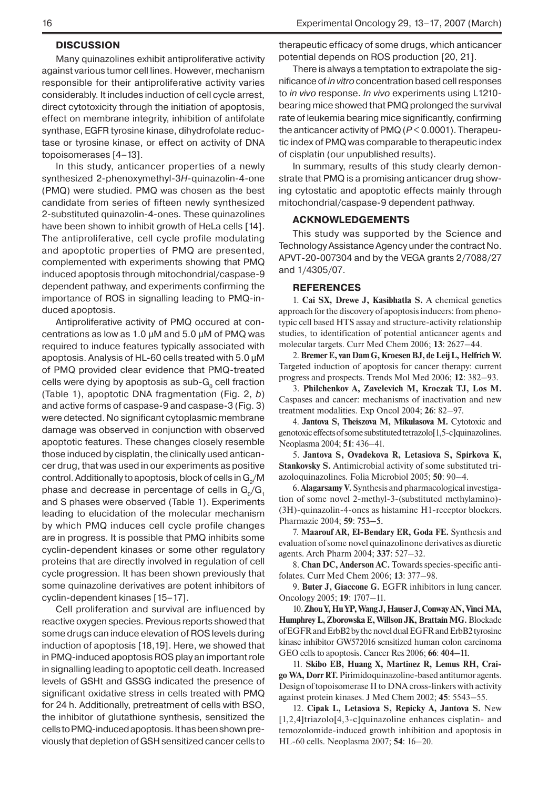#### **DISCUSSION**

Many quinazolines exhibit antiproliferative activity against various tumor cell lines. However, mechanism responsible for their antiproliferative activity varies considerably. It includes induction of cell cycle arrest, direct cytotoxicity through the initiation of apoptosis, effect on membrane integrity, inhibition of antifolate synthase, EGFR tyrosine kinase, dihydrofolate reductase or tyrosine kinase, or effect on activity of DNA topoisomerases [4–13].

In this study, anticancer properties of a newly synthesized 2-phenoxymethyl-3*H*-quinazolin-4-one (PMQ) were studied. PMQ was chosen as the best candidate from series of fifteen newly synthesized 2-substituted quinazolin-4-ones. These quinazolines have been shown to inhibit growth of HeLa cells [14]. The antiproliferative, cell cycle profile modulating and apoptotic properties of PMQ are presented, complemented with experiments showing that PMQ induced apoptosis through mitochondrial/caspase-9 dependent pathway, and experiments confirming the importance of ROS in signalling leading to PMQ-induced apoptosis.

Antiproliferative activity of PMQ occured at concentrations as low as 1.0  $\mu$ M and 5.0  $\mu$ M of PMQ was required to induce features typically associated with apoptosis. Analysis of HL-60 cells treated with 5.0 μM of PMQ provided clear evidence that PMQ-treated cells were dying by apoptosis as sub- $G_0$  cell fraction (Table 1), apoptotic DNA fragmentation (Fig. 2, *b*) and active forms of caspase-9 and caspase-3 (Fig. 3) were detected. No significant cytoplasmic membrane damage was observed in conjunction with observed apoptotic features. These changes closely resemble those induced by cisplatin, the clinically used anticancer drug, that was used in our experiments as positive control. Additionally to apoptosis, block of cells in  $\mathrm{G}_2/\mathrm{M}$ phase and decrease in percentage of cells in  $G_{0}/G_{1}$ and S phases were observed (Table 1). Experiments leading to elucidation of the molecular mechanism by which PMQ induces cell cycle profile changes are in progress. It is possible that PMQ inhibits some cyclin-dependent kinases or some other regulatory proteins that are directly involved in regulation of cell cycle progression. It has been shown previously that some quinazoline derivatives are potent inhibitors of cyclin-dependent kinases [15–17].

Cell proliferation and survival are influenced by reactive oxygen species. Previous reports showed that some drugs can induce elevation of ROS levels during induction of apoptosis [18,19]. Here, we showed that in PMQ-induced apoptosis ROS play an important role in signalling leading to apoptotic cell death. Increased levels of GSHt and GSSG indicated the presence of significant oxidative stress in cells treated with PMQ for 24 h. Additionally, pretreatment of cells with BSO, the inhibitor of glutathione synthesis, sensitized the cells to PMQ-induced apoptosis. It has been shown previously that depletion of GSH sensitized cancer cells to therapeutic efficacy of some drugs, which anticancer potential depends on ROS production [20, 21].

There is always a temptation to extrapolate the significance of *in vitro* concentration based cell responses to *in vivo* response. *In vivo* experiments using L1210 bearing mice showed that PMQ prolonged the survival rate of leukemia bearing mice significantly, confirming the anticancer activity of PMQ (*P* < 0.0001). Therapeutic index of PMQ was comparable to therapeutic index of cisplatin (our unpublished results).

In summary, results of this study clearly demonstrate that PMQ is a promising anticancer drug showing cytostatic and apoptotic effects mainly through mitochondrial/caspase-9 dependent pathway.

#### **ACKNOWLEDGEMENTS**

This study was supported by the Science and Technology Assistance Agency under the contract No. APVT-20-007304 and by the VEGA grants 2/7088/27 and 1/4305/07.

#### **REFERENCES**

1. **Cai SX, Drewe J, Kasibhatla S.** A chemical genetics approach for the discovery of apoptosis inducers: from phenotypic cell based HTS assay and structure-activity relationship studies, to identification of potential anticancer agents and molecular targets. Curr Med Chem 2006; **13**: 2627–44.

2. **Bremer E, van Dam G, Kroesen BJ, de Leij L, Helfrich W.**  Targeted induction of apoptosis for cancer therapy: current progress and prospects. Trends Mol Med 2006; **12**: 382–93.

3. **Philchenkov A, Zavelevich M, Kroczak TJ, Los M.**  Caspases and cancer: mechanisms of inactivation and new treatment modalities. Exp Oncol 2004; **26**: 82–97.

4. **Jantova S, Theiszova M, Mikulasova M.** Cytotoxic and genotoxic effects of some substituted tetrazolo[1,5-c]quinazolines. Neoplasma 2004; **51**: 436–41.

5. **Jantova S, Ovadekova R, Letasiova S, Spirkova K, Stankovsky S.** Antimicrobial activity of some substituted triazoloquinazolines. Folia Microbiol 2005; **50**: 90–4.

6. **Alagarsamy V.** Synthesis and pharmacological investigation of some novel 2-methyl-3-(substituted methylamino)- (3H)-quinazolin-4-ones as histamine H1-receptor blockers. Pharmazie 2004; **59**: 753–5.

7. **Maarouf AR, El-Bendary ER, Goda FE.** Synthesis and evaluation of some novel quinazolinone derivatives as diuretic agents. Arch Pharm 2004; **337**: 527–32.

8. **Chan DC, Anderson AC.** Towards species-specific antifolates. Curr Med Chem 2006; **13**: 377–98.

9. **Buter J, Giaccone G.** EGFR inhibitors in lung cancer. Oncology 2005; **19**: 1707–11.

10. **Zhou Y, Hu YP, Wang J, Hauser J, Conway AN, Vinci MA, Humphrey L, Zborowska E, Willson JK, Brattain MG.**Blockade of EGFR and ErbB2 by the novel dual EGFR and ErbB2 tyrosine kinase inhibitor GW572016 sensitized human colon carcinoma GEO cells to apoptosis. Cancer Res 2006; **66**: 404–11.

11. **Skibo EB, Huang X, Martinez R, Lemus RH, Craigo WA, Dorr RT.** Pirimidoquinazoline-based antitumor agents. Design of topoisomerase II to DNA cross-linkers with activity against protein kinases. J Med Chem 2002; **45**: 5543–55.

12. **Cipak L, Letasiova S, Repicky A, Jantova S.** New [1,2,4]triazolo[4,3-c]quinazoline enhances cisplatin- and temozolomide-induced growth inhibition and apoptosis in HL-60 cells. Neoplasma 2007; **54**: 16–20.